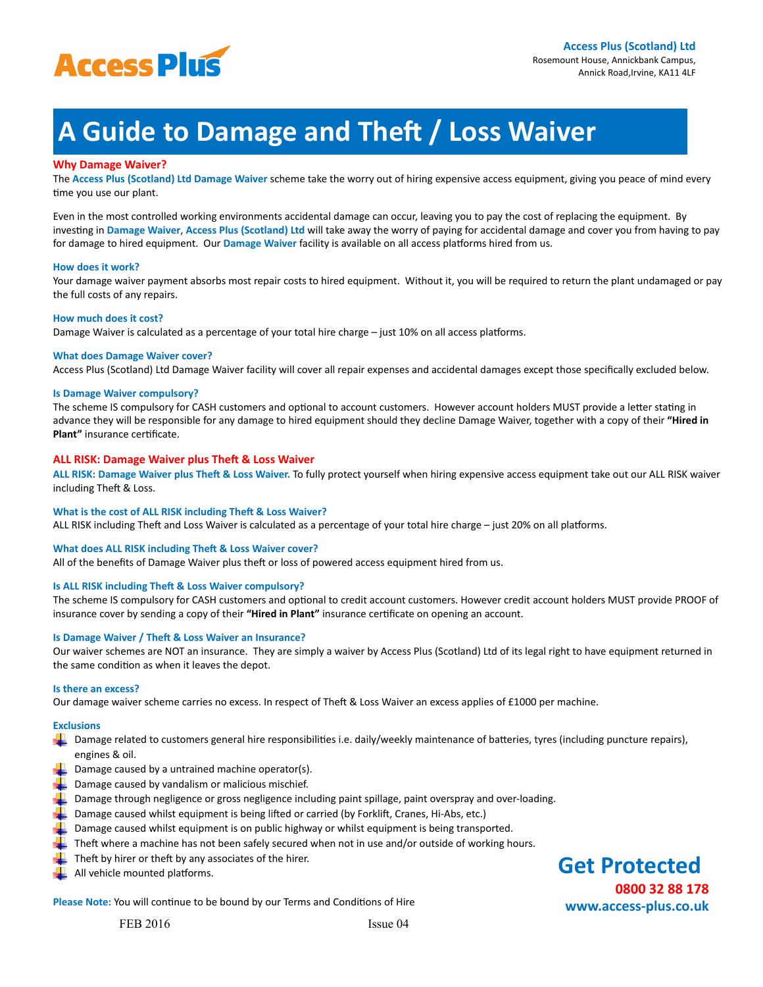

**Get Protected**

**www.access-plus.co.uk**

 **0800 32 88 178**

# **A Guide to Damage and Theft / Loss Waiver**

# **Why Damage Waiver?**

The **Access Plus (Scotland) Ltd Damage Waiver** scheme take the worry out of hiring expensive access equipment, giving you peace of mind every time you use our plant.

Even in the most controlled working environments accidental damage can occur, leaving you to pay the cost of replacing the equipment. By investing in Damage Waiver, Access Plus (Scotland) Ltd will take away the worry of paying for accidental damage and cover you from having to pay for damage to hired equipment. Our Damage Waiver facility is available on all access platforms hired from us.

# **How does it work?**

Your damage waiver payment absorbs most repair costs to hired equipment. Without it, you will be required to return the plant undamaged or pay the full costs of any repairs.

# How much does it cost?

Damage Waiver is calculated as a percentage of your total hire charge – just 10% on all access platforms.

# **What does Damage Waiver cover?**

Access Plus (Scotland) Ltd Damage Waiver facility will cover all repair expenses and accidental damages except those specifically excluded below.

### **Is Damage Waiver compulsory?**

The scheme IS compulsory for CASH customers and optional to account customers. However account holders MUST provide a letter stating in advance they will be responsible for any damage to hired equipment should they decline Damage Waiver, together with a copy of their "Hired in **Plant"** insurance certificate.

# **ALL RISK: Damage Waiver plus Theft & Loss Waiver**

ALL RISK: Damage Waiver plus Theft & Loss Waiver. To fully protect yourself when hiring expensive access equipment take out our ALL RISK waiver including Theft & Loss.

# **What is the cost of ALL RISK including Theft & Loss Waiver?**

ALL RISK including Theft and Loss Waiver is calculated as a percentage of your total hire charge - just 20% on all platforms.

# **What does ALL RISK including Theft & Loss Waiver cover?**

All of the benefits of Damage Waiver plus theft or loss of powered access equipment hired from us.

# **Is ALL RISK including Theft & Loss Waiver compulsory?**

The scheme IS compulsory for CASH customers and optional to credit account customers. However credit account holders MUST provide PROOF of insurance cover by sending a copy of their "Hired in Plant" insurance certificate on opening an account.

# **Is Damage Waiver / Theft & Loss Waiver an Insurance?**

Our waiver schemes are NOT an insurance. They are simply a waiver by Access Plus (Scotland) Ltd of its legal right to have equipment returned in the same condition as when it leaves the depot.

### **Is there an excess?**

Our damage waiver scheme carries no excess. In respect of Theft & Loss Waiver an excess applies of £1000 per machine.

# **Exclusions**

- Damage related to customers general hire responsibilities i.e. daily/weekly maintenance of batteries, tyres (including puncture repairs), engines & oil.
- $\Box$  Damage caused by a untrained machine operator(s).
- $\Box$  Damage caused by vandalism or malicious mischief.
- $\Box$  Damage through negligence or gross negligence including paint spillage, paint overspray and over-loading.
- Damage caused whilst equipment is being lifted or carried (by Forklift, Cranes, Hi-Abs, etc.)
- Damage caused whilst equipment is on public highway or whilst equipment is being transported.
- Theft where a machine has not been safely secured when not in use and/or outside of working hours.
- $\blacksquare$  Theft by hirer or theft by any associates of the hirer.
- All vehicle mounted platforms.

**Please Note:** You will continue to be bound by our Terms and Conditions of Hire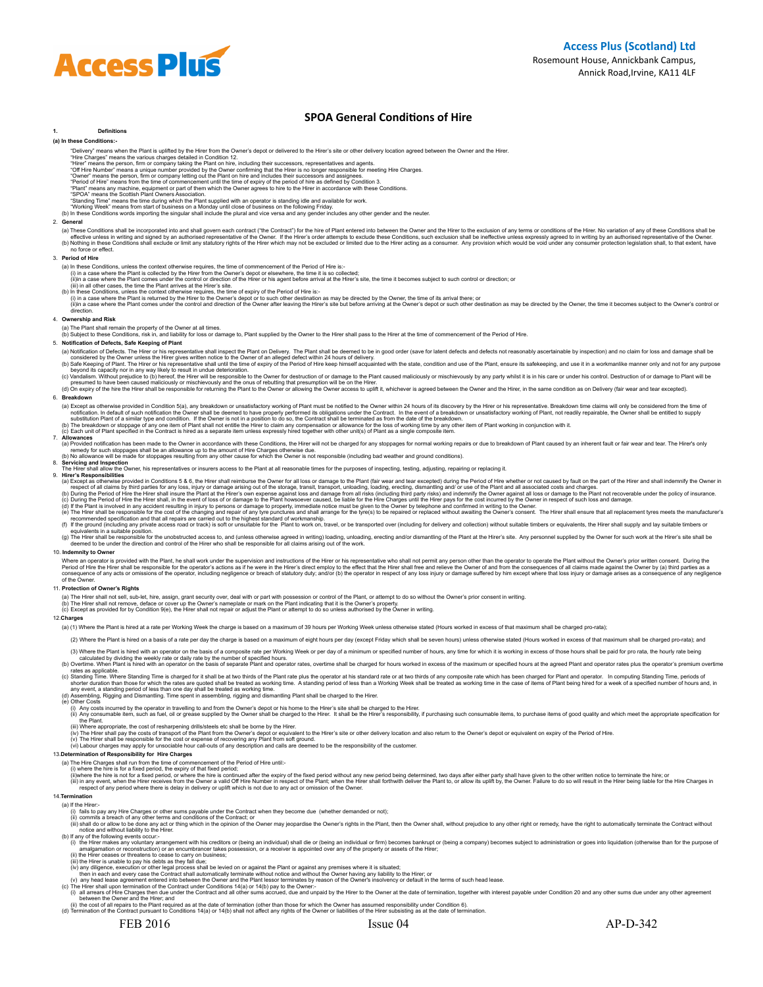# **SPOA General Conditions of Hire**

### **1. Definitions (a) In these Conditions:-**

- 
- "Delivery" means when the Plant is uplified by the Hirer from the Owner's depot or delivered to the Hirer's site or other delivery location agreed between the Owner and the Hirer.<br>"Hire Charges" means the various charges d
	-
	-
- 

**Access Plus** 

- 
- 

### 2. **General**

(a) These Conditions shall be incorporated into an shall opern each contract ("the Contract") for the hime of Plant entered into between the Sweet the Conditions such exclude these Conditions, such excludions, such excludi

### 3. **Period of Hire**

- 
- 
- 
- 
- (a) In these Conditions, unless the context otherwise requires, the time of commencement of the Period Filte is:<br>(i) in a case where the Plant is collected by the Hirer from the Owner's depto or elsewhere, the time of comm

### 4. **Ownership and Risk**

(a) The Plant shall remain the property of the Owner at all times.<br>(b) Subject to these Conditions, risk in, and liability for loss or damage to, Plant supplied by the Owner to the Hirer shall pass to the Hirer at the time

### 5. **Notification of Defects, Safe Keeping of Plant**

- 
- (a) Notification of Defects. The Hirer or his representative shall inspect the Plan to n Delivery. The Plant shall be decement of save for latent defects and defects and defects and resonably ascertainable by inspection) a
- presumed to have been caused maliciously or mischievously and the onus of rebutting that presumption will be on the Hirer, in the Dumer here then the Owner or allowing the Owner or allowing the Owner access to uplift it, w

6. Breakdown or stoppage of any one literoid on 5(a), any breakdown or unsatisfactory working of Plant must be notified to the Owner within 24 hours of its discovery by the Hirer or his representative. Breakdown time claim

(a) Provided notification has been made to the Owner in accordance with these Conditions, the Hirer's only reductor from any stoppages for normal working repairs or due to breakdown of Plant caused by an inherent fault or

The Hirer shall allow the Owner, his representatives or insurers access to the Plant at all reasonable times for the purposes of inspecting, testing, adjusting, repairing or replacing it. 9. **Hirer's Responsibilities**

(a) Except as otherwise provided in Conditions 5 & 6, the Hirer shall inehumburse the Owner for and the Duting and other share to the Bland (air way and learn in the part of the Bland in Conditions by faint in the solicy o

### 10. **Indemnity to Owner**

Where an operator is provided with the Plant, he shall work under the supervision and instructions of the Hirer or his representative who shall nde eand relievat the where and not enter than the operator to operate the Pla

### 11. **Protection of Owner's Rights**

(a) The Hirer shall not sell, sub-let, hire, assign, grant security over, deal with or part with possession or control of the Plant, or attempt to do so without the Owner's prior consent in writing.<br>(b) The Hirer shall not

### 12.**Charges**

(a) (1) Where the Plant is hired at a rate per Working Week the charge is based on a maximum of 39 hours per Working Week unless otherwise stated (Hours worked in excess of that maximum shall be charged pro-rata);

(2) Where the Plant is hired on a basis of a rate per day the charge is based on a maximum of eight hours per day (except Friday which shall be seven hours) unless otherwise stated (Hours worked in excess of that maximum s

(3) Where the Plant is hired with an operator on the basis of a composite rate per Working week or per day of a minimum or specified number of hours, any time for which it is working in excess of those hours shall be paid

(e) Other Costs

(i) Any consumable they the operator in travelling to and from the Owner's depot or his home to the Hirer's site shall be charged to the Hirer.<br>(ii) Any consumable item, such a forecase supplied by the Owner shall be charg

13.**Determination of Responsibility for Hire Charges**

(a) The Hire Charges shall run from the time of commencement of the Period of Hire until:-<br>(i) where the hire is for a fixed period, the expiry of that fixed period: where the hire is continued affer the Pland off the fixe respect of any period where there is delay in delivery or uplift which is not due to any act or omission of the Owner.<br>14 Termination

ii) the cost of all repairs to the Plant required as at the date of termination (other than those for which the Owner has assumed responsibility under Condition 6).<br>(d) Termination of the Contract pursuant to Conditions 14

14 Termination<br>
(i) If the Hirer constrained by other sums payable under the Contract when they become due (whether demanded or not);<br>
(ii) falls to pay any Hire Charges or other sums payable under the Contract when they b

FEB 2016 **ISSUE 04** AP-D-342